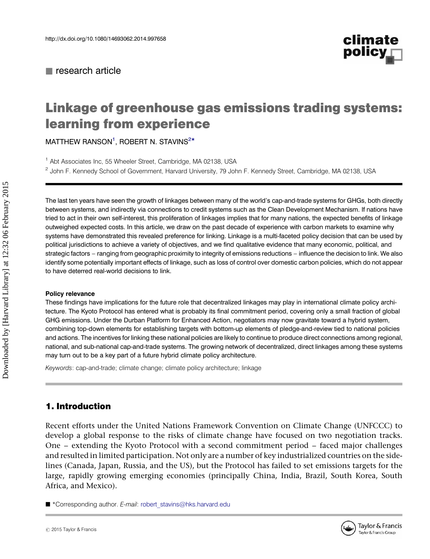

# Linkage of greenhouse gas emissions trading systems: learning from experience

 $M$ ATTHEW RANSON $^1$ , ROBERT N. STAVINS $^{2\star}$ 

<sup>1</sup> Abt Associates Inc, 55 Wheeler Street, Cambridge, MA 02138, USA

<sup>2</sup> John F. Kennedy School of Government, Harvard University, 79 John F. Kennedy Street, Cambridge, MA 02138, USA

The last ten years have seen the growth of linkages between many of the world's cap-and-trade systems for GHGs, both directly between systems, and indirectly via connections to credit systems such as the Clean Development Mechanism. If nations have tried to act in their own self-interest, this proliferation of linkages implies that for many nations, the expected benefits of linkage outweighed expected costs. In this article, we draw on the past decade of experience with carbon markets to examine why systems have demonstrated this revealed preference for linking. Linkage is a multi-faceted policy decision that can be used by political jurisdictions to achieve a variety of objectives, and we find qualitative evidence that many economic, political, and strategic factors – ranging from geographic proximity to integrity of emissions reductions – influence the decision to link. We also identify some potentially important effects of linkage, such as loss of control over domestic carbon policies, which do not appear to have deterred real-world decisions to link.

#### Policy relevance

These findings have implications for the future role that decentralized linkages may play in international climate policy architecture. The Kyoto Protocol has entered what is probably its final commitment period, covering only a small fraction of global GHG emissions. Under the Durban Platform for Enhanced Action, negotiators may now gravitate toward a hybrid system, combining top-down elements for establishing targets with bottom-up elements of pledge-and-review tied to national policies and actions. The incentives for linking these national policies are likely to continue to produce direct connections among regional, national, and sub-national cap-and-trade systems. The growing network of decentralized, direct linkages among these systems may turn out to be a key part of a future hybrid climate policy architecture.

Keywords: cap-and-trade; climate change; climate policy architecture; linkage

# 1. Introduction

Recent efforts under the United Nations Framework Convention on Climate Change (UNFCCC) to develop a global response to the risks of climate change have focused on two negotiation tracks. One – extending the Kyoto Protocol with a second commitment period – faced major challenges and resulted in limited participation. Not only are a number of key industrialized countries on the sidelines (Canada, Japan, Russia, and the US), but the Protocol has failed to set emissions targets for the large, rapidly growing emerging economies (principally China, India, Brazil, South Korea, South Africa, and Mexico).

■ \*Corresponding author. E-mail: [robert\\_stavins@hks.harvard.edu](mailto:robert_stavins@hks.harvard.edu)

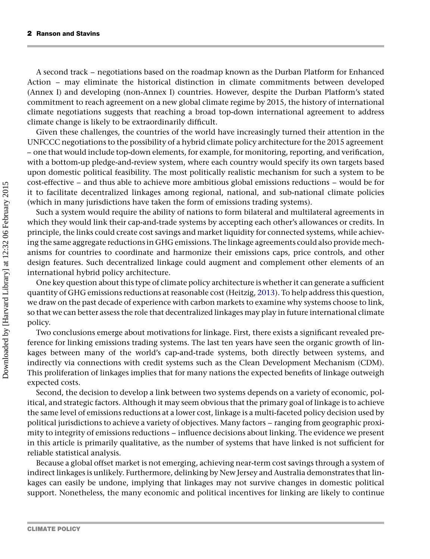A second track – negotiations based on the roadmap known as the Durban Platform for Enhanced Action – may eliminate the historical distinction in climate commitments between developed (Annex I) and developing (non-Annex I) countries. However, despite the Durban Platform's stated commitment to reach agreement on a new global climate regime by 2015, the history of international climate negotiations suggests that reaching a broad top-down international agreement to address climate change is likely to be extraordinarily difficult.

Given these challenges, the countries of the world have increasingly turned their attention in the UNFCCC negotiations to the possibility of a hybrid climate policy architecture for the 2015 agreement – one that would include top-down elements, for example, for monitoring, reporting, and verification, with a bottom-up pledge-and-review system, where each country would specify its own targets based upon domestic political feasibility. The most politically realistic mechanism for such a system to be cost-effective – and thus able to achieve more ambitious global emissions reductions – would be for it to facilitate decentralized linkages among regional, national, and sub-national climate policies (which in many jurisdictions have taken the form of emissions trading systems).

Such a system would require the ability of nations to form bilateral and multilateral agreements in which they would link their cap-and-trade systems by accepting each other's allowances or credits. In principle, the links could create cost savings and market liquidity for connected systems, while achieving the same aggregate reductions in GHG emissions. The linkage agreements could also provide mechanisms for countries to coordinate and harmonize their emissions caps, price controls, and other design features. Such decentralized linkage could augment and complement other elements of an international hybrid policy architecture.

One key question about this type of climate policy architecture is whether it can generate a sufficient quantity of GHG emissions reductions at reasonable cost (Heitzig, [2013\)](#page-15-0). To help address this question, we draw on the past decade of experience with carbon markets to examine why systems choose to link, so that we can better assess the role that decentralized linkages may play in future international climate policy.

Two conclusions emerge about motivations for linkage. First, there exists a significant revealed preference for linking emissions trading systems. The last ten years have seen the organic growth of linkages between many of the world's cap-and-trade systems, both directly between systems, and indirectly via connections with credit systems such as the Clean Development Mechanism (CDM). This proliferation of linkages implies that for many nations the expected benefits of linkage outweigh expected costs.

Second, the decision to develop a link between two systems depends on a variety of economic, political, and strategic factors. Although it may seem obvious that the primary goal of linkage is to achieve the same level of emissions reductions at a lower cost, linkage is a multi-faceted policy decision used by political jurisdictions to achieve a variety of objectives. Many factors – ranging from geographic proximity to integrity of emissions reductions – influence decisions about linking. The evidence we present in this article is primarily qualitative, as the number of systems that have linked is not sufficient for reliable statistical analysis.

Because a global offset market is not emerging, achieving near-term cost savings through a system of indirect linkages is unlikely. Furthermore, delinking by New Jersey and Australia demonstrates that linkages can easily be undone, implying that linkages may not survive changes in domestic political support. Nonetheless, the many economic and political incentives for linking are likely to continue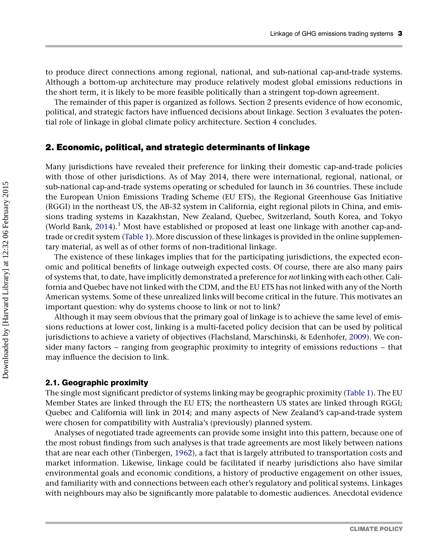to produce direct connections among regional, national, and sub-national cap-and-trade systems. Although a bottom-up architecture may produce relatively modest global emissions reductions in the short term, it is likely to be more feasible politically than a stringent top-down agreement.

The remainder of this paper is organized as follows. Section 2 presents evidence of how economic, political, and strategic factors have influenced decisions about linkage. Section 3 evaluates the potential role of linkage in global climate policy architecture. Section 4 concludes.

## 2. Economic, political, and strategic determinants of linkage

Many jurisdictions have revealed their preference for linking their domestic cap-and-trade policies with those of other jurisdictions. As of May 2014, there were international, regional, national, or sub-national cap-and-trade systems operating or scheduled for launch in 36 countries. These include the European Union Emissions Trading Scheme (EU ETS), the Regional Greenhouse Gas Initiative (RGGI) in the northeast US, the AB-32 system in California, eight regional pilots in China, and emissions trading systems in Kazakhstan, New Zealand, Quebec, Switzerland, South Korea, and Tokyo (World Bank,  $2014$ ).<sup>[1](#page-13-0)</sup> Most have established or proposed at least one linkage with another cap-andtrade or credit system [\(Table 1](#page-3-0)). More discussion of these linkages is provided in the online supplementary material, as well as of other forms of non-traditional linkage.

The existence of these linkages implies that for the participating jurisdictions, the expected economic and political benefits of linkage outweigh expected costs. Of course, there are also many pairs of systems that, to date, have implicitly demonstrated a preference for not linking with each other. California and Quebec have not linked with the CDM, and the EU ETS has not linked with any of the North American systems. Some of these unrealized links will become critical in the future. This motivates an important question: why do systems choose to link or not to link?

Although it may seem obvious that the primary goal of linkage is to achieve the same level of emissions reductions at lower cost, linking is a multi-faceted policy decision that can be used by political jurisdictions to achieve a variety of objectives (Flachsland, Marschinski, & Edenhofer, [2009\)](#page-15-0). We consider many factors – ranging from geographic proximity to integrity of emissions reductions – that may influence the decision to link.

#### 2.1. Geographic proximity

The single most significant predictor of systems linking may be geographic proximity [\(Table 1](#page-3-0)). The EU Member States are linked through the EU ETS; the northeastern US states are linked through RGGI; Quebec and California will link in 2014; and many aspects of New Zealand's cap-and-trade system were chosen for compatibility with Australia's (previously) planned system.

Analyses of negotiated trade agreements can provide some insight into this pattern, because one of the most robust findings from such analyses is that trade agreements are most likely between nations that are near each other (Tinbergen, [1962\)](#page-16-0), a fact that is largely attributed to transportation costs and market information. Likewise, linkage could be facilitated if nearby jurisdictions also have similar environmental goals and economic conditions, a history of productive engagement on other issues, and familiarity with and connections between each other's regulatory and political systems. Linkages with neighbours may also be significantly more palatable to domestic audiences. Anecdotal evidence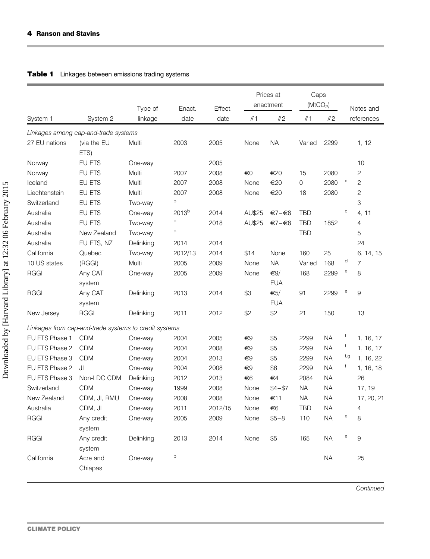<span id="page-3-0"></span>÷

## Table 1 Linkages between emissions trading systems

|                                                       |                      | Type of   | Enact.            | Effect. | Prices at<br>enactment |                           | Caps<br>(MtCO <sub>2</sub> ) |           |              | Notes and      |
|-------------------------------------------------------|----------------------|-----------|-------------------|---------|------------------------|---------------------------|------------------------------|-----------|--------------|----------------|
| System 1                                              | System 2             | linkage   | date              | date    | #1                     | #2                        | #1                           | #2        |              | references     |
| Linkages among cap-and-trade systems                  |                      |           |                   |         |                        |                           |                              |           |              |                |
| 27 EU nations                                         | (via the EU<br>ETS)  | Multi     | 2003              | 2005    | None                   | <b>NA</b>                 | Varied                       | 2299      |              | 1, 12          |
| Norway                                                | EU ETS               | One-way   |                   | 2005    |                        |                           |                              |           |              | 10             |
| Norway                                                | EU ETS               | Multi     | 2007              | 2008    | €0                     | €20                       | 15                           | 2080      |              | $\overline{c}$ |
| Iceland                                               | EU ETS               | Multi     | 2007              | 2008    | None                   | €20                       | $\mathbf 0$                  | 2080      | $\mathsf{a}$ | $\overline{c}$ |
| Liechtenstein                                         | EU ETS               | Multi     | 2007              | 2008    | None                   | €20                       | 18                           | 2080      |              | $\overline{c}$ |
| Switzerland                                           | EU ETS               | Two-way   | b                 |         |                        |                           |                              |           |              | 3              |
| Australia                                             | EU ETS               | One-way   | 2013 <sup>b</sup> | 2014    | AU\$25                 | €7-€8                     | <b>TBD</b>                   |           | $\mathbf C$  | 4, 11          |
| Australia                                             | EU ETS               | Two-way   | b                 | 2018    | AU\$25                 | €7-€8                     | <b>TBD</b>                   | 1852      |              | 4              |
| Australia                                             | New Zealand          | Two-way   | b                 |         |                        |                           | <b>TBD</b>                   |           |              | 5              |
| Australia                                             | EU ETS, NZ           | Delinking | 2014              | 2014    |                        |                           |                              |           |              | 24             |
| California                                            | Quebec               | Two-way   | 2012/13           | 2014    | \$14                   | None                      | 160                          | 25        |              | 6, 14, 15      |
| 10 US states                                          | (RGGI)               | Multi     | 2005              | 2009    | None                   | <b>NA</b>                 | Varied                       | 168       | d            | 7              |
| <b>RGGI</b>                                           | Any CAT              | One-way   | 2005              | 2009    | None                   | $\epsilon$ 9/             | 168                          | 2299      | $_{\rm e}$   | 8              |
|                                                       | system               |           |                   |         |                        | <b>EUA</b>                |                              |           |              |                |
| <b>RGGI</b>                                           | Any CAT              | Delinking | 2013              | 2014    | \$3                    | $\epsilon$ <sub>5</sub> / | 91                           | 2299      | $_{\rm e}$   | 9              |
|                                                       | system               |           |                   |         |                        | <b>EUA</b>                |                              |           |              |                |
| New Jersey                                            | <b>RGGI</b>          | Delinking | 2011              | 2012    | \$2                    | \$2                       | 21                           | 150       |              | 13             |
| Linkages from cap-and-trade systems to credit systems |                      |           |                   |         |                        |                           |                              |           |              |                |
| EU ETS Phase 1                                        | <b>CDM</b>           | One-way   | 2004              | 2005    | €9                     | \$5                       | 2299                         | <b>NA</b> | f            | 1, 16, 17      |
| EU ETS Phase 2                                        | <b>CDM</b>           | One-way   | 2004              | 2008    | €9                     | \$5                       | 2299                         | <b>NA</b> | f            | 1, 16, 17      |
| EU ETS Phase 3                                        | <b>CDM</b>           | One-way   | 2004              | 2013    | €9                     | \$5                       | 2299                         | <b>NA</b> | f,g          | 1, 16, 22      |
| EU ETS Phase 2                                        | Il.                  | One-way   | 2004              | 2008    | €9                     | \$6                       | 2299                         | <b>NA</b> | f            | 1, 16, 18      |
| EU ETS Phase 3                                        | Non-LDC CDM          | Delinking | 2012              | 2013    | €6                     | $\epsilon$ 4              | 2084                         | <b>NA</b> |              | 26             |
| Switzerland                                           | <b>CDM</b>           | One-way   | 1999              | 2008    | None                   | $$4 - $7$                 | <b>NA</b>                    | <b>NA</b> |              | 17, 19         |
| New Zealand                                           | CDM, JI, RMU         | One-way   | 2008              | 2008    | None                   | €11                       | <b>NA</b>                    | <b>NA</b> |              | 17, 20, 21     |
| Australia                                             | CDM, JI              | One-way   | 2011              | 2012/15 | None                   | €6                        | <b>TBD</b>                   | <b>NA</b> |              | $\overline{4}$ |
| <b>RGGI</b>                                           | Any credit           | One-way   | 2005              | 2009    | None                   | $$5 - 8$                  | 110                          | <b>NA</b> | $_{\rm e}$   | 8              |
|                                                       | system               |           |                   |         |                        |                           |                              |           |              |                |
| <b>RGGI</b>                                           | Any credit<br>system | Delinking | 2013              | 2014    | None                   | \$5                       | 165                          | <b>NA</b> | $_{\rm e}$   | 9              |
| California                                            | Acre and<br>Chiapas  | One-way   | b                 |         |                        |                           |                              | <b>NA</b> |              | 25             |

Continued

۰

۰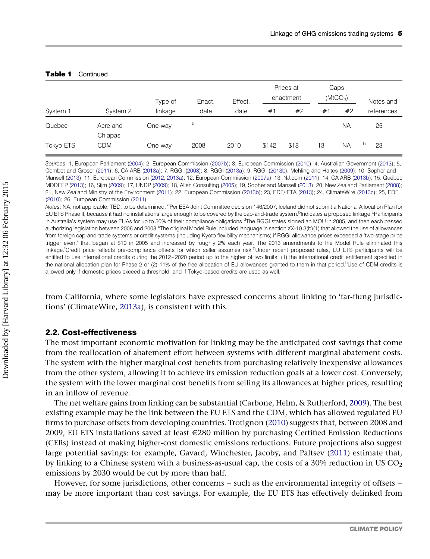|           |                     | Type of | Enact. | Effect. | Prices at<br>enactment |      | Caps<br>(MtCO <sub>2</sub> ) |           | Notes and  |  |
|-----------|---------------------|---------|--------|---------|------------------------|------|------------------------------|-----------|------------|--|
| System 1  | System 2            | linkage | date   | date    | #1                     | #2   | #1                           | #2        | references |  |
| Quebec    | Acre and<br>Chiapas | One-way | b      |         |                        |      |                              | <b>NA</b> | 25         |  |
| Tokyo ETS | <b>CDM</b>          | One-way | 2008   | 2010    | \$142                  | \$18 | 13                           | <b>NA</b> | h<br>23    |  |

#### Table 1 Continued

Sources: 1, European Parliament [\(2004](#page-14-0)); 2, European Commission ([2007b\)](#page-14-0); 3, European Commission ([2010\)](#page-14-0); 4, Australian Government [\(2013](#page-13-0)); 5, Combet and Groser ([2011\)](#page-14-0); 6, CA ARB ([2013a](#page-14-0)); 7, RGGI [\(2008](#page-15-0)); 8, RGGI [\(2013a\)](#page-15-0); 9, RGGI ([2013b\)](#page-15-0), Mehling and Haites [\(2009](#page-15-0)); 10, Sopher and Mansell ([2013\)](#page-15-0); 11, European Commission [\(2012](#page-14-0), [2013a\)](#page-14-0); 12, European Commission [\(2007a\)](#page-14-0); 13, NJ.com ([2011\)](#page-15-0); 14, CA ARB [\(2013b](#page-14-0)); 15, Québec MDDEFP ([2013](#page-15-0)); 16, Sijm [\(2009](#page-15-0)); 17, UNDP [\(2009](#page-16-0)); 18, Allen Consulting [\(2005](#page-13-0)); 19, Sopher and Mansell [\(2013](#page-16-0)); 20, New Zealand Parliament ([2008](#page-15-0)); 21, New Zealand Ministry of the Environment [\(2011](#page-15-0)); 22, European Commission ([2013b\)](#page-14-0); 23, EDF/IETA ([2013\)](#page-14-0); 24, ClimateWire [\(2013c\)](#page-14-0); 25, EDF ([2010\)](#page-14-0); 26, European Commission [\(2011](#page-14-0)).

Notes: NA, not applicable; TBD, to be determined. <sup>a</sup>Per EEA Joint Committee decision 146/2007, Iceland did not submit a National Allocation Plan for EU ETS Phase II, because it had no installations large enough to be covered by the cap-and-trade system.<sup>b</sup>Indicates a proposed linkage.<sup>c</sup>Participants in Australia's system may use EUAs for up to 50% of their compliance obligations.<sup>d</sup>The RGGI states signed an MOU in 2005, and then each passed authorizing legislation between 2006 and 2008.<sup>e</sup>The original Model Rule included language in section XX-10.3(b)(1) that allowed the use of allowances from foreign cap-and-trade systems or credit systems (including Kyoto flexibility mechanisms) if RGGI allowance prices exceeded a 'two-stage price trigger event' that began at \$10 in 2005 and increased by roughly 2% each year. The 2013 amendments to the Model Rule eliminated this linkage.<sup>f</sup>Credit price reflects pre-compliance offsets for which seller assumes risk.<sup>g</sup>Under recent proposed rules, EU ETS participants will be entitled to use international credits during the 2012–2020 period up to the higher of two limits: (1) the international credit entitlement specified in the national allocation plan for Phase 2 or (2) 11% of the free allocation of EU allowances granted to them in that period.<sup>h</sup>Use of CDM credits is allowed only if domestic prices exceed a threshold, and if Tokyo-based credits are used as well.

from California, where some legislators have expressed concerns about linking to 'far-flung jurisdictions' (ClimateWire, [2013a\)](#page-14-0), is consistent with this.

## 2.2. Cost-effectiveness

The most important economic motivation for linking may be the anticipated cost savings that come from the reallocation of abatement effort between systems with different marginal abatement costs. The system with the higher marginal cost benefits from purchasing relatively inexpensive allowances from the other system, allowing it to achieve its emission reduction goals at a lower cost. Conversely, the system with the lower marginal cost benefits from selling its allowances at higher prices, resulting in an inflow of revenue.

The net welfare gains from linking can be substantial (Carbone, Helm, & Rutherford, [2009](#page-14-0)). The best existing example may be the link between the EU ETS and the CDM, which has allowed regulated EU firms to purchase offsets from developing countries. Trotignon [\(2010\)](#page-16-0) suggests that, between 2008 and 2009, EU ETS installations saved at least  $\epsilon$ 280 million by purchasing Certified Emission Reductions (CERs) instead of making higher-cost domestic emissions reductions. Future projections also suggest large potential savings: for example, Gavard, Winchester, Jacoby, and Paltsev [\(2011\)](#page-15-0) estimate that, by linking to a Chinese system with a business-as-usual cap, the costs of a 30% reduction in US  $CO<sub>2</sub>$ emissions by 2030 would be cut by more than half.

However, for some jurisdictions, other concerns – such as the environmental integrity of offsets – may be more important than cost savings. For example, the EU ETS has effectively delinked from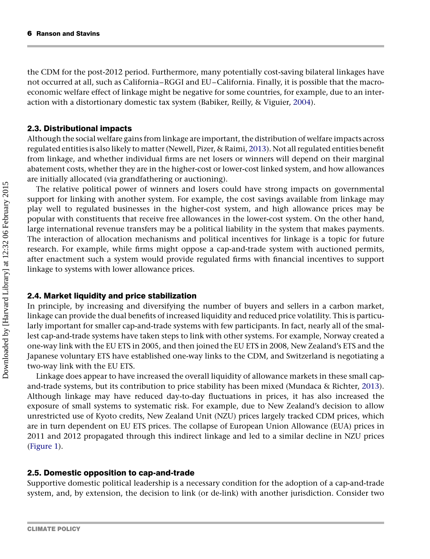the CDM for the post-2012 period. Furthermore, many potentially cost-saving bilateral linkages have not occurred at all, such as California–RGGI and EU–California. Finally, it is possible that the macroeconomic welfare effect of linkage might be negative for some countries, for example, due to an interaction with a distortionary domestic tax system (Babiker, Reilly, & Viguier, [2004](#page-13-0)).

# 2.3. Distributional impacts

Although the social welfare gains from linkage are important, the distribution of welfare impacts across regulated entities is also likely to matter (Newell, Pizer, & Raimi, [2013](#page-15-0)). Not all regulated entities benefit from linkage, and whether individual firms are net losers or winners will depend on their marginal abatement costs, whether they are in the higher-cost or lower-cost linked system, and how allowances are initially allocated (via grandfathering or auctioning).

The relative political power of winners and losers could have strong impacts on governmental support for linking with another system. For example, the cost savings available from linkage may play well to regulated businesses in the higher-cost system, and high allowance prices may be popular with constituents that receive free allowances in the lower-cost system. On the other hand, large international revenue transfers may be a political liability in the system that makes payments. The interaction of allocation mechanisms and political incentives for linkage is a topic for future research. For example, while firms might oppose a cap-and-trade system with auctioned permits, after enactment such a system would provide regulated firms with financial incentives to support linkage to systems with lower allowance prices.

# 2.4. Market liquidity and price stabilization

In principle, by increasing and diversifying the number of buyers and sellers in a carbon market, linkage can provide the dual benefits of increased liquidity and reduced price volatility. This is particularly important for smaller cap-and-trade systems with few participants. In fact, nearly all of the smallest cap-and-trade systems have taken steps to link with other systems. For example, Norway created a one-way link with the EU ETS in 2005, and then joined the EU ETS in 2008, New Zealand's ETS and the Japanese voluntary ETS have established one-way links to the CDM, and Switzerland is negotiating a two-way link with the EU ETS.

Linkage does appear to have increased the overall liquidity of allowance markets in these small capand-trade systems, but its contribution to price stability has been mixed (Mundaca & Richter, [2013\)](#page-15-0). Although linkage may have reduced day-to-day fluctuations in prices, it has also increased the exposure of small systems to systematic risk. For example, due to New Zealand's decision to allow unrestricted use of Kyoto credits, New Zealand Unit (NZU) prices largely tracked CDM prices, which are in turn dependent on EU ETS prices. The collapse of European Union Allowance (EUA) prices in 2011 and 2012 propagated through this indirect linkage and led to a similar decline in NZU prices [\(Figure 1\)](#page-6-0).

# 2.5. Domestic opposition to cap-and-trade

Supportive domestic political leadership is a necessary condition for the adoption of a cap-and-trade system, and, by extension, the decision to link (or de-link) with another jurisdiction. Consider two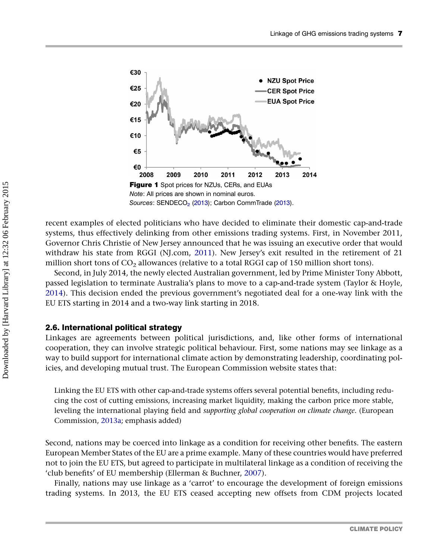<span id="page-6-0"></span>

recent examples of elected politicians who have decided to eliminate their domestic cap-and-trade systems, thus effectively delinking from other emissions trading systems. First, in November 2011, Governor Chris Christie of New Jersey announced that he was issuing an executive order that would withdraw his state from RGGI (NJ.com, [2011](#page-15-0)). New Jersey's exit resulted in the retirement of 21 million short tons of  $CO<sub>2</sub>$  allowances (relative to a total RGGI cap of 150 million short tons).

Second, in July 2014, the newly elected Australian government, led by Prime Minister Tony Abbott, passed legislation to terminate Australia's plans to move to a cap-and-trade system (Taylor & Hoyle, [2014\)](#page-16-0). This decision ended the previous government's negotiated deal for a one-way link with the EU ETS starting in 2014 and a two-way link starting in 2018.

#### 2.6. International political strategy

Linkages are agreements between political jurisdictions, and, like other forms of international cooperation, they can involve strategic political behaviour. First, some nations may see linkage as a way to build support for international climate action by demonstrating leadership, coordinating policies, and developing mutual trust. The European Commission website states that:

Linking the EU ETS with other cap-and-trade systems offers several potential benefits, including reducing the cost of cutting emissions, increasing market liquidity, making the carbon price more stable, leveling the international playing field and supporting global cooperation on climate change. (European Commission, [2013a](#page-14-0); emphasis added)

Second, nations may be coerced into linkage as a condition for receiving other benefits. The eastern European Member States of the EU are a prime example. Many of these countries would have preferred not to join the EU ETS, but agreed to participate in multilateral linkage as a condition of receiving the 'club benefits' of EU membership (Ellerman & Buchner, [2007](#page-14-0)).

Finally, nations may use linkage as a 'carrot' to encourage the development of foreign emissions trading systems. In 2013, the EU ETS ceased accepting new offsets from CDM projects located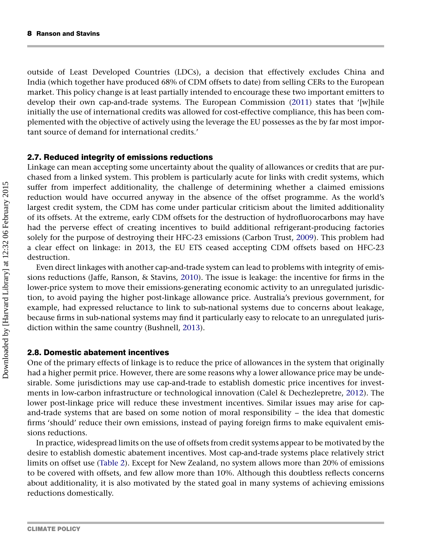outside of Least Developed Countries (LDCs), a decision that effectively excludes China and India (which together have produced 68% of CDM offsets to date) from selling CERs to the European market. This policy change is at least partially intended to encourage these two important emitters to develop their own cap-and-trade systems. The European Commission ([2011](#page-14-0)) states that '[w]hile initially the use of international credits was allowed for cost-effective compliance, this has been complemented with the objective of actively using the leverage the EU possesses as the by far most important source of demand for international credits.'

#### 2.7. Reduced integrity of emissions reductions

Linkage can mean accepting some uncertainty about the quality of allowances or credits that are purchased from a linked system. This problem is particularly acute for links with credit systems, which suffer from imperfect additionality, the challenge of determining whether a claimed emissions reduction would have occurred anyway in the absence of the offset programme. As the world's largest credit system, the CDM has come under particular criticism about the limited additionality of its offsets. At the extreme, early CDM offsets for the destruction of hydrofluorocarbons may have had the perverse effect of creating incentives to build additional refrigerant-producing factories solely for the purpose of destroying their HFC-23 emissions (Carbon Trust, [2009](#page-14-0)). This problem had a clear effect on linkage: in 2013, the EU ETS ceased accepting CDM offsets based on HFC-23 destruction.

Even direct linkages with another cap-and-trade system can lead to problems with integrity of emissions reductions (Jaffe, Ranson, & Stavins, [2010](#page-15-0)). The issue is leakage: the incentive for firms in the lower-price system to move their emissions-generating economic activity to an unregulated jurisdiction, to avoid paying the higher post-linkage allowance price. Australia's previous government, for example, had expressed reluctance to link to sub-national systems due to concerns about leakage, because firms in sub-national systems may find it particularly easy to relocate to an unregulated jurisdiction within the same country (Bushnell, [2013\)](#page-13-0).

#### 2.8. Domestic abatement incentives

One of the primary effects of linkage is to reduce the price of allowances in the system that originally had a higher permit price. However, there are some reasons why a lower allowance price may be undesirable. Some jurisdictions may use cap-and-trade to establish domestic price incentives for investments in low-carbon infrastructure or technological innovation (Calel & Dechezlepretre, [2012](#page-13-0)). The lower post-linkage price will reduce these investment incentives. Similar issues may arise for capand-trade systems that are based on some notion of moral responsibility – the idea that domestic firms 'should' reduce their own emissions, instead of paying foreign firms to make equivalent emissions reductions.

In practice, widespread limits on the use of offsets from credit systems appear to be motivated by the desire to establish domestic abatement incentives. Most cap-and-trade systems place relatively strict limits on offset use [\(Table 2\)](#page-8-0). Except for New Zealand, no system allows more than 20% of emissions to be covered with offsets, and few allow more than 10%. Although this doubtless reflects concerns about additionality, it is also motivated by the stated goal in many systems of achieving emissions reductions domestically.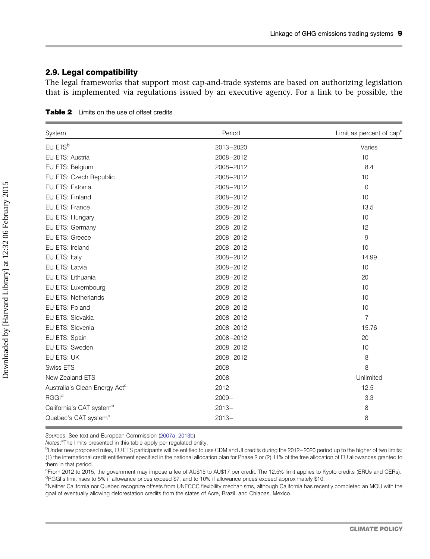#### <span id="page-8-0"></span>2.9. Legal compatibility

The legal frameworks that support most cap-and-trade systems are based on authorizing legislation that is implemented via regulations issued by an executive agency. For a link to be possible, the

| System                                    | Period    | Limit as percent of cap <sup>a</sup> |  |  |
|-------------------------------------------|-----------|--------------------------------------|--|--|
| EU ETS <sup>b</sup>                       | 2013-2020 | Varies                               |  |  |
| EU ETS: Austria                           | 2008-2012 | 10                                   |  |  |
| EU ETS: Belgium                           | 2008-2012 | 8.4                                  |  |  |
| EU ETS: Czech Republic                    | 2008-2012 | 10                                   |  |  |
| EU ETS: Estonia                           | 2008-2012 | $\mathbf 0$                          |  |  |
| EU ETS: Finland                           | 2008-2012 | 10                                   |  |  |
| EU ETS: France                            | 2008-2012 | 13.5                                 |  |  |
| EU ETS: Hungary                           | 2008-2012 | 10                                   |  |  |
| EU ETS: Germany                           | 2008-2012 | 12                                   |  |  |
| EU ETS: Greece                            | 2008-2012 | 9                                    |  |  |
| EU ETS: Ireland                           | 2008-2012 | 10                                   |  |  |
| EU ETS: Italy                             | 2008-2012 | 14.99                                |  |  |
| EU ETS: Latvia                            | 2008-2012 | 10                                   |  |  |
| EU ETS: Lithuania                         | 2008-2012 | 20                                   |  |  |
| EU ETS: Luxembourg                        | 2008-2012 | 10                                   |  |  |
| EU ETS: Netherlands                       | 2008-2012 | 10                                   |  |  |
| EU ETS: Poland                            | 2008-2012 | 10                                   |  |  |
| EU ETS: Slovakia                          | 2008-2012 | $\overline{7}$                       |  |  |
| EU ETS: Slovenia                          | 2008-2012 | 15.76                                |  |  |
| EU ETS: Spain                             | 2008-2012 | 20                                   |  |  |
| EU ETS: Sweden                            | 2008-2012 | 10                                   |  |  |
| EU ETS: UK                                | 2008-2012 | 8                                    |  |  |
| <b>Swiss ETS</b>                          | $2008 -$  | 8                                    |  |  |
| New Zealand ETS                           | $2008 -$  | Unlimited                            |  |  |
| Australia's Clean Energy Act <sup>c</sup> | $2012 -$  | 12.5                                 |  |  |
| <b>RGGI<sup>d</sup></b>                   | $2009 -$  | 3.3                                  |  |  |
| California's CAT system <sup>e</sup>      | $2013 -$  | 8                                    |  |  |
| Quebec's CAT system <sup>e</sup>          | $2013 -$  | 8                                    |  |  |
|                                           |           |                                      |  |  |

Table 2 Limits on the use of offset credits

Sources: See text and European Commission ([2007a](#page-14-0), [2013b](#page-14-0)).

Notes:<sup>a</sup>The limits presented in this table apply per regulated entity.

c From 2012 to 2015, the government may impose a fee of AU\$15 to AU\$17 per credit. The 12.5% limit applies to Kyoto credits (ERUs and CERs). <sup>d</sup>RGGI's limit rises to 5% if allowance prices exceed \$7, and to 10% if allowance prices exceed approximately \$10.

e<br>Neither California nor Quebec recognize offsets from UNFCCC flexibility mechanisms, although California has recently completed an MOU with the goal of eventually allowing deforestation credits from the states of Acre, Brazil, and Chiapas, Mexico.

bUnder new proposed rules, EU ETS participants will be entitled to use CDM and JI credits during the 2012-2020 period up to the higher of two limits: (1) the international credit entitlement specified in the national allocation plan for Phase 2 or (2) 11% of the free allocation of EU allowances granted to them in that period.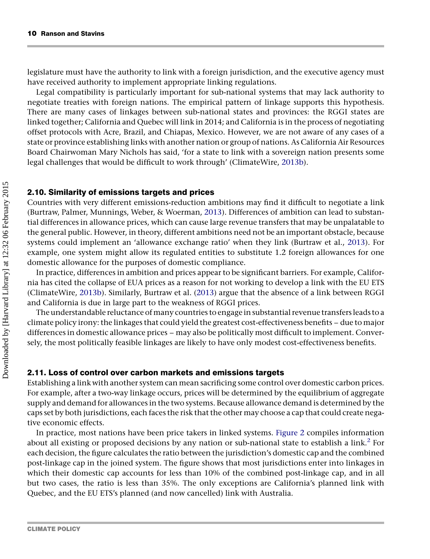legislature must have the authority to link with a foreign jurisdiction, and the executive agency must have received authority to implement appropriate linking regulations.

Legal compatibility is particularly important for sub-national systems that may lack authority to negotiate treaties with foreign nations. The empirical pattern of linkage supports this hypothesis. There are many cases of linkages between sub-national states and provinces: the RGGI states are linked together; California and Quebec will link in 2014; and California is in the process of negotiating offset protocols with Acre, Brazil, and Chiapas, Mexico. However, we are not aware of any cases of a state or province establishing links with another nation or group of nations. As California Air Resources Board Chairwoman Mary Nichols has said, 'for a state to link with a sovereign nation presents some legal challenges that would be difficult to work through' (ClimateWire, [2013b](#page-14-0)).

#### 2.10. Similarity of emissions targets and prices

Countries with very different emissions-reduction ambitions may find it difficult to negotiate a link (Burtraw, Palmer, Munnings, Weber, & Woerman, [2013\)](#page-13-0). Differences of ambition can lead to substantial differences in allowance prices, which can cause large revenue transfers that may be unpalatable to the general public. However, in theory, different ambitions need not be an important obstacle, because systems could implement an 'allowance exchange ratio' when they link (Burtraw et al., [2013](#page-13-0)). For example, one system might allow its regulated entities to substitute 1.2 foreign allowances for one domestic allowance for the purposes of domestic compliance.

In practice, differences in ambition and prices appear to be significant barriers. For example, California has cited the collapse of EUA prices as a reason for not working to develop a link with the EU ETS (ClimateWire, [2013b\)](#page-14-0). Similarly, Burtraw et al. ([2013\)](#page-13-0) argue that the absence of a link between RGGI and California is due in large part to the weakness of RGGI prices.

The understandable reluctance of many countries to engage in substantial revenue transfers leads to a climate policy irony: the linkages that could yield the greatest cost-effectiveness benefits – due to major differences in domestic allowance prices – may also be politically most difficult to implement. Conversely, the most politically feasible linkages are likely to have only modest cost-effectiveness benefits.

#### 2.11. Loss of control over carbon markets and emissions targets

Establishing a link with another system can mean sacrificing some control over domestic carbon prices. For example, after a two-way linkage occurs, prices will be determined by the equilibrium of aggregate supply and demand for allowances in the two systems. Because allowance demand is determined by the caps set by both jurisdictions, each faces the risk that the other may choose a cap that could create negative economic effects.

In practice, most nations have been price takers in linked systems. [Figure 2](#page-10-0) compiles information about all existing or proposed decisions by any nation or sub-national state to establish a link.<sup>[2](#page-13-0)</sup> For each decision, the figure calculates the ratio between the jurisdiction's domestic cap and the combined post-linkage cap in the joined system. The figure shows that most jurisdictions enter into linkages in which their domestic cap accounts for less than 10% of the combined post-linkage cap, and in all but two cases, the ratio is less than 35%. The only exceptions are California's planned link with Quebec, and the EU ETS's planned (and now cancelled) link with Australia.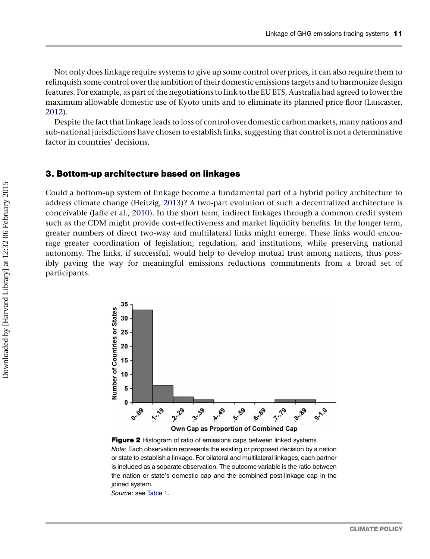<span id="page-10-0"></span>Not only does linkage require systems to give up some control over prices, it can also require them to relinquish some control over the ambition of their domestic emissions targets and to harmonize design features. For example, as part of the negotiations to link to the EU ETS, Australia had agreed to lower the maximum allowable domestic use of Kyoto units and to eliminate its planned price floor (Lancaster, [2012\)](#page-15-0).

Despite the fact that linkage leads to loss of control over domestic carbon markets, many nations and sub-national jurisdictions have chosen to establish links, suggesting that control is not a determinative factor in countries' decisions.

#### 3. Bottom-up architecture based on linkages

Could a bottom-up system of linkage become a fundamental part of a hybrid policy architecture to address climate change (Heitzig, [2013\)](#page-15-0)? A two-part evolution of such a decentralized architecture is conceivable (Jaffe et al., [2010](#page-15-0)). In the short term, indirect linkages through a common credit system such as the CDM might provide cost-effectiveness and market liquidity benefits. In the longer term, greater numbers of direct two-way and multilateral links might emerge. These links would encourage greater coordination of legislation, regulation, and institutions, while preserving national autonomy. The links, if successful, would help to develop mutual trust among nations, thus possibly paving the way for meaningful emissions reductions commitments from a broad set of participants.



Figure 2 Histogram of ratio of emissions caps between linked systems Note: Each observation represents the existing or proposed decision by a nation or state to establish a linkage. For bilateral and multilateral linkages, each partner is included as a separate observation. The outcome variable is the ratio between the nation or state's domestic cap and the combined post-linkage cap in the ioined system.

Source: see [Table 1.](#page-3-0)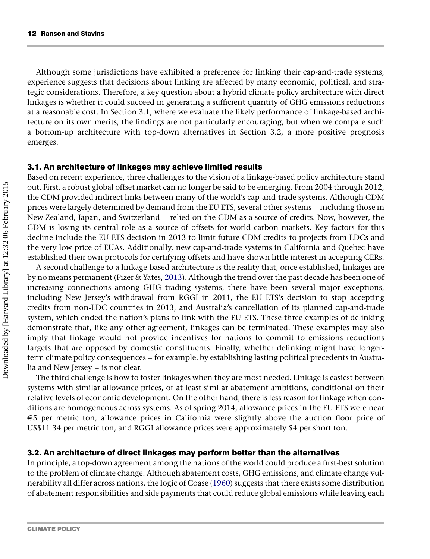Although some jurisdictions have exhibited a preference for linking their cap-and-trade systems, experience suggests that decisions about linking are affected by many economic, political, and strategic considerations. Therefore, a key question about a hybrid climate policy architecture with direct linkages is whether it could succeed in generating a sufficient quantity of GHG emissions reductions at a reasonable cost. In Section 3.1, where we evaluate the likely performance of linkage-based architecture on its own merits, the findings are not particularly encouraging, but when we compare such a bottom-up architecture with top-down alternatives in Section 3.2, a more positive prognosis emerges.

#### 3.1. An architecture of linkages may achieve limited results

Based on recent experience, three challenges to the vision of a linkage-based policy architecture stand out. First, a robust global offset market can no longer be said to be emerging. From 2004 through 2012, the CDM provided indirect links between many of the world's cap-and-trade systems. Although CDM prices were largely determined by demand from the EU ETS, several other systems – including those in New Zealand, Japan, and Switzerland – relied on the CDM as a source of credits. Now, however, the CDM is losing its central role as a source of offsets for world carbon markets. Key factors for this decline include the EU ETS decision in 2013 to limit future CDM credits to projects from LDCs and the very low price of EUAs. Additionally, new cap-and-trade systems in California and Quebec have established their own protocols for certifying offsets and have shown little interest in accepting CERs.

A second challenge to a linkage-based architecture is the reality that, once established, linkages are by no means permanent (Pizer & Yates, [2013\)](#page-15-0). Although the trend over the past decade has been one of increasing connections among GHG trading systems, there have been several major exceptions, including New Jersey's withdrawal from RGGI in 2011, the EU ETS's decision to stop accepting credits from non-LDC countries in 2013, and Australia's cancellation of its planned cap-and-trade system, which ended the nation's plans to link with the EU ETS. These three examples of delinking demonstrate that, like any other agreement, linkages can be terminated. These examples may also imply that linkage would not provide incentives for nations to commit to emissions reductions targets that are opposed by domestic constituents. Finally, whether delinking might have longerterm climate policy consequences – for example, by establishing lasting political precedents in Australia and New Jersey – is not clear.

The third challenge is how to foster linkages when they are most needed. Linkage is easiest between systems with similar allowance prices, or at least similar abatement ambitions, conditional on their relative levels of economic development. On the other hand, there is less reason for linkage when conditions are homogeneous across systems. As of spring 2014, allowance prices in the EU ETS were near E5 per metric ton, allowance prices in California were slightly above the auction floor price of US\$11.34 per metric ton, and RGGI allowance prices were approximately \$4 per short ton.

## 3.2. An architecture of direct linkages may perform better than the alternatives

In principle, a top-down agreement among the nations of the world could produce a first-best solution to the problem of climate change. Although abatement costs, GHG emissions, and climate change vulnerability all differ across nations, the logic of Coase [\(1960\)](#page-14-0) suggests that there exists some distribution of abatement responsibilities and side payments that could reduce global emissions while leaving each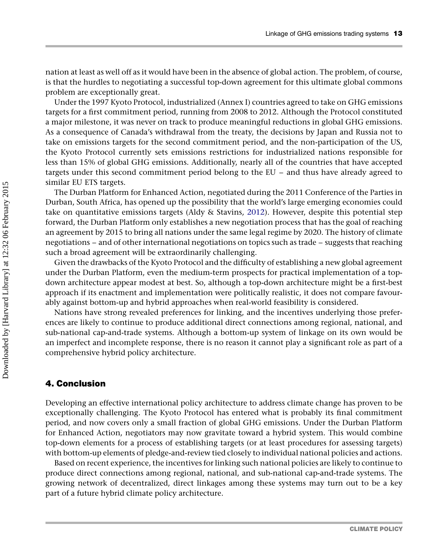nation at least as well off as it would have been in the absence of global action. The problem, of course, is that the hurdles to negotiating a successful top-down agreement for this ultimate global commons problem are exceptionally great.

Under the 1997 Kyoto Protocol, industrialized (Annex I) countries agreed to take on GHG emissions targets for a first commitment period, running from 2008 to 2012. Although the Protocol constituted a major milestone, it was never on track to produce meaningful reductions in global GHG emissions. As a consequence of Canada's withdrawal from the treaty, the decisions by Japan and Russia not to take on emissions targets for the second commitment period, and the non-participation of the US, the Kyoto Protocol currently sets emissions restrictions for industrialized nations responsible for less than 15% of global GHG emissions. Additionally, nearly all of the countries that have accepted targets under this second commitment period belong to the EU – and thus have already agreed to similar EU ETS targets.

The Durban Platform for Enhanced Action, negotiated during the 2011 Conference of the Parties in Durban, South Africa, has opened up the possibility that the world's large emerging economies could take on quantitative emissions targets (Aldy & Stavins, [2012\)](#page-13-0). However, despite this potential step forward, the Durban Platform only establishes a new negotiation process that has the goal of reaching an agreement by 2015 to bring all nations under the same legal regime by 2020. The history of climate negotiations – and of other international negotiations on topics such as trade – suggests that reaching such a broad agreement will be extraordinarily challenging.

Given the drawbacks of the Kyoto Protocol and the difficulty of establishing a new global agreement under the Durban Platform, even the medium-term prospects for practical implementation of a topdown architecture appear modest at best. So, although a top-down architecture might be a first-best approach if its enactment and implementation were politically realistic, it does not compare favourably against bottom-up and hybrid approaches when real-world feasibility is considered.

Nations have strong revealed preferences for linking, and the incentives underlying those preferences are likely to continue to produce additional direct connections among regional, national, and sub-national cap-and-trade systems. Although a bottom-up system of linkage on its own would be an imperfect and incomplete response, there is no reason it cannot play a significant role as part of a comprehensive hybrid policy architecture.

## 4. Conclusion

Developing an effective international policy architecture to address climate change has proven to be exceptionally challenging. The Kyoto Protocol has entered what is probably its final commitment period, and now covers only a small fraction of global GHG emissions. Under the Durban Platform for Enhanced Action, negotiators may now gravitate toward a hybrid system. This would combine top-down elements for a process of establishing targets (or at least procedures for assessing targets) with bottom-up elements of pledge-and-review tied closely to individual national policies and actions.

Based on recent experience, the incentives for linking such national policies are likely to continue to produce direct connections among regional, national, and sub-national cap-and-trade systems. The growing network of decentralized, direct linkages among these systems may turn out to be a key part of a future hybrid climate policy architecture.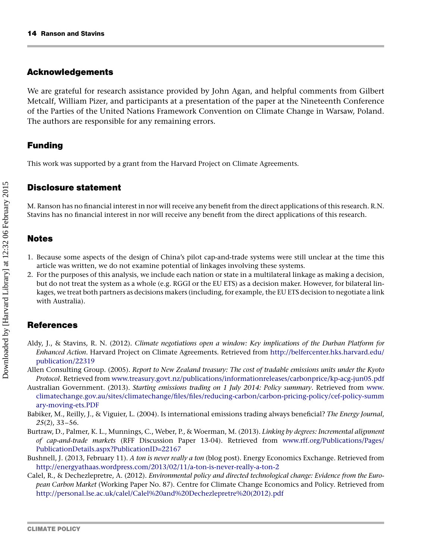## <span id="page-13-0"></span>Acknowledgements

We are grateful for research assistance provided by John Agan, and helpful comments from Gilbert Metcalf, William Pizer, and participants at a presentation of the paper at the Nineteenth Conference of the Parties of the United Nations Framework Convention on Climate Change in Warsaw, Poland. The authors are responsible for any remaining errors.

# Funding

This work was supported by a grant from the Harvard Project on Climate Agreements.

## Disclosure statement

M. Ranson has no financial interest in nor will receive any benefit from the direct applications of this research. R.N. Stavins has no financial interest in nor will receive any benefit from the direct applications of this research.

# Notes

- 1. Because some aspects of the design of China's pilot cap-and-trade systems were still unclear at the time this article was written, we do not examine potential of linkages involving these systems.
- 2. For the purposes of this analysis, we include each nation or state in a multilateral linkage as making a decision, but do not treat the system as a whole (e.g. RGGI or the EU ETS) as a decision maker. However, for bilateral linkages, we treat both partners as decisions makers (including, for example, the EU ETS decision to negotiate a link with Australia).

# **References**

- Aldy, J., & Stavins, R. N. (2012). Climate negotiations open a window: Key implications of the Durban Platform for Enhanced Action. Harvard Project on Climate Agreements. Retrieved from [http://belfercenter.hks.harvard.edu/](http://belfercenter.hks.harvard.edu/publication/22319) [publication/22319](http://belfercenter.hks.harvard.edu/publication/22319)
- Allen Consulting Group. (2005). Report to New Zealand treasury: The cost of tradable emissions units under the Kyoto Protocol. Retrieved from [www.treasury.govt.nz/publications/informationreleases/carbonprice/kp-acg-jun05.pdf](http://www.treasury.govt.nz/publications/informationreleases/carbonprice/kp-acg-jun05.pdf)
- Australian Government. (2013). Starting emissions trading on 1 July 2014: Policy summary. Retrieved from [www.](http://www.climatechange.gov.au/sites/climatechange/files/files/reducing-carbon/carbon-pricing-policy/cef-policy-summary-moving-ets.PDF) [climatechange.gov.au/sites/climatechange/files/files/reducing-carbon/carbon-pricing-policy/cef-policy-summ](http://www.climatechange.gov.au/sites/climatechange/files/files/reducing-carbon/carbon-pricing-policy/cef-policy-summary-moving-ets.PDF) [ary-moving-ets.PDF](http://www.climatechange.gov.au/sites/climatechange/files/files/reducing-carbon/carbon-pricing-policy/cef-policy-summary-moving-ets.PDF)
- Babiker, M., Reilly, J., & Viguier, L. (2004). Is international emissions trading always beneficial? The Energy Journal, 25(2), 33–56.
- Burtraw, D., Palmer, K. L., Munnings, C., Weber, P., & Woerman, M. (2013). Linking by degrees: Incremental alignment of cap-and-trade markets (RFF Discussion Paper 13-04). Retrieved from [www.rff.org/Publications/Pages/](http://www.rff.org/Publications/Pages/PublicationDetails.aspx?PublicationID=22167) [PublicationDetails.aspx?PublicationID=22167](http://www.rff.org/Publications/Pages/PublicationDetails.aspx?PublicationID=22167)
- Bushnell, J. (2013, February 11). A ton is never really a ton (blog post). Energy Economics Exchange. Retrieved from <http://energyathaas.wordpress.com/2013/02/11/a-ton-is-never-really-a-ton-2>
- Calel, R., & Dechezlepretre, A. (2012). Environmental policy and directed technological change: Evidence from the European Carbon Market (Working Paper No. 87). Centre for Climate Change Economics and Policy. Retrieved from [http://personal.lse.ac.uk/calel/Calel%20and%20Dechezlepretre%20\(2012\).pdf](http://personal.lse.ac.uk/calel/Calel%20and%20Dechezlepretre%20(2012).pdf)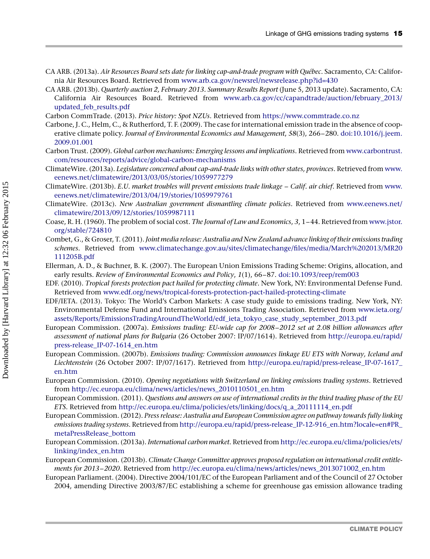- <span id="page-14-0"></span>CA ARB. (2013a). Air Resources Board sets date for linking cap-and-trade program with Québec. Sacramento, CA: California Air Resources Board. Retrieved from [www.arb.ca.gov/newsrel/newsrelease.php?id=430](http://www.arb.ca.gov/newsrel/newsrelease.php?id=430)
- CA ARB. (2013b). Quarterly auction 2, February 2013. Summary Results Report (June 5, 2013 update). Sacramento, CA: California Air Resources Board. Retrieved from [www.arb.ca.gov/cc/capandtrade/auction/february\\_2013/](http://www.arb.ca.gov/cc/capandtrade/auction/february_2013/updated_feb_results.pdf) [updated\\_feb\\_results.pdf](http://www.arb.ca.gov/cc/capandtrade/auction/february_2013/updated_feb_results.pdf)
- Carbon CommTrade. (2013). Price history: Spot NZUs. Retrieved from [https://www.commtrade.co.nz](http://www.commtrade.co.nz)
- Carbone, J. C., Helm, C., & Rutherford, T. F. (2009). The case for international emission trade in the absence of cooperative climate policy. Journal of Environmental Economics and Management, 58(3), 266–280. [doi:10.1016/j.jeem.](http://dx.doi.org/10.1016/j.jeem.2009.01.001) [2009.01.001](http://dx.doi.org/10.1016/j.jeem.2009.01.001)
- Carbon Trust. (2009). Global carbon mechanisms: Emerging lessons and implications. Retrieved from [www.carbontrust.](http://www.carbontrust.com/resources/reports/advice/global-carbon-mechanisms) [com/resources/reports/advice/global-carbon-mechanisms](http://www.carbontrust.com/resources/reports/advice/global-carbon-mechanisms)
- ClimateWire. (2013a). Legislature concerned about cap-and-trade links with other states, provinces. Retrieved from [www.](http://www.eenews.net/climatewire/2013/03/05/stories/1059977279) [eenews.net/climatewire/2013/03/05/stories/1059977279](http://www.eenews.net/climatewire/2013/03/05/stories/1059977279)
- ClimateWire. (2013b). E.U. market troubles will prevent emissions trade linkage Calif. air chief. Retrieved from [www.](http://www.eenews.net/climatewire/2013/04/19/stories/1059979761) [eenews.net/climatewire/2013/04/19/stories/1059979761](http://www.eenews.net/climatewire/2013/04/19/stories/1059979761)
- ClimateWire. (2013c). New Australian government dismantling climate policies. Retrieved from [www.eenews.net/](http://www.eenews.net/climatewire/2013/09/12/stories/1059987111) [climatewire/2013/09/12/stories/1059987111](http://www.eenews.net/climatewire/2013/09/12/stories/1059987111)
- Coase, R. H. (1960). The problem of social cost. The Journal of Law and Economics, 3, 1–44. Retrieved from [www.jstor.](http://www.jstor.org/stable/724810) [org/stable/724810](http://www.jstor.org/stable/724810)
- Combet, G., & Groser, T. (2011). Joint media release: Australia and New Zealand advance linking of their emissions trading schemes. Retrieved from [www.climatechange.gov.au/sites/climatechange/files/media/March%202013/MR20](http://www.climatechange.gov.au/sites/climatechange/files/media/March%202013/MR20111205B.pdf) [111205B.pdf](http://www.climatechange.gov.au/sites/climatechange/files/media/March%202013/MR20111205B.pdf)
- Ellerman, A. D., & Buchner, B. K. (2007). The European Union Emissions Trading Scheme: Origins, allocation, and early results. Review of Environmental Economics and Policy, 1(1), 66–87. [doi:10.1093/reep/rem003](http://dx.doi.org/10.1093/reep/rem003)
- EDF. (2010). Tropical forests protection pact hailed for protecting climate. New York, NY: Environmental Defense Fund. Retrieved from [www.edf.org/news/tropical-forests-protection-pact-hailed-protecting-climate](http://www.edf.org/news/tropical-forests-protection-pact-hailed-protecting-climate)
- EDF/IETA. (2013). Tokyo: The World's Carbon Markets: A case study guide to emissions trading. New York, NY: Environmental Defense Fund and International Emissions Trading Association. Retrieved from [www.ieta.org/](http://www.ieta.org/assets/Reports/EmissionsTradingAroundTheWorld/edf_ieta_tokyo_case_study_september_2013.pdf) [assets/Reports/EmissionsTradingAroundTheWorld/edf\\_ieta\\_tokyo\\_case\\_study\\_september\\_2013.pdf](http://www.ieta.org/assets/Reports/EmissionsTradingAroundTheWorld/edf_ieta_tokyo_case_study_september_2013.pdf)
- European Commission. (2007a). Emissions trading: EU-wide cap for 2008–2012 set at 2.08 billion allowances after assessment of national plans for Bulgaria (26 October 2007: IP/07/1614). Retrieved from [http://europa.eu/rapid/](http://europa.eu/rapid/press-release_IP-07-1614_en.htm) [press-release\\_IP-07-1614\\_en.htm](http://europa.eu/rapid/press-release_IP-07-1614_en.htm)
- European Commission. (2007b). Emissions trading: Commission announces linkage EU ETS with Norway, Iceland and Liechtenstein (26 October 2007: IP/07/1617). Retrieved from [http://europa.eu/rapid/press-release\\_IP-07-1617\\_](http://europa.eu/rapid/press-release_IP-07-1617_en.htm) [en.htm](http://europa.eu/rapid/press-release_IP-07-1617_en.htm)
- European Commission. (2010). Opening negotiations with Switzerland on linking emissions trading systems. Retrieved from [http://ec.europa.eu/clima/news/articles/news\\_2010110501\\_en.htm](http://ec.europa.eu/clima/news/articles/news_2010110501_en.htm)
- European Commission. (2011). Questions and answers on use of international credits in the third trading phase of the EU ETS. Retrieved from [http://ec.europa.eu/clima/policies/ets/linking/docs/q\\_a\\_20111114\\_en.pdf](http://ec.europa.eu/clima/policies/ets/linking/docs/q_a_20111114_en.pdf)
- European Commission. (2012). Press release: Australia and European Commission agree on pathway towards fully linking emissions trading systems. Retrieved from [http://europa.eu/rapid/press-release\\_IP-12-916\\_en.htm?locale=en#PR\\_](http://europa.eu/rapid/press-release_IP-12-916_en.htm?locale=en#PR_metaPressRelease_bottom) [metaPressRelease\\_bottom](http://europa.eu/rapid/press-release_IP-12-916_en.htm?locale=en#PR_metaPressRelease_bottom)
- European Commission. (2013a). International carbon market. Retrieved from [http://ec.europa.eu/clima/policies/ets/](http://ec.europa.eu/clima/policies/ets/linking/index_en.htm) [linking/index\\_en.htm](http://ec.europa.eu/clima/policies/ets/linking/index_en.htm)
- European Commission. (2013b). Climate Change Committee approves proposed regulation on international credit entitlements for 2013–2020. Retrieved from [http://ec.europa.eu/clima/news/articles/news\\_2013071002\\_en.htm](http://ec.europa.eu/clima/news/articles/news_2013071002_en.htm)
- European Parliament. (2004). Directive 2004/101/EC of the European Parliament and of the Council of 27 October 2004, amending Directive 2003/87/EC establishing a scheme for greenhouse gas emission allowance trading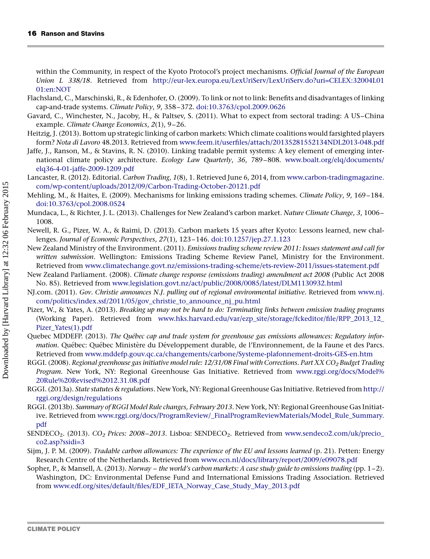<span id="page-15-0"></span>within the Community, in respect of the Kyoto Protocol's project mechanisms. Official Journal of the European Union L 338/18. Retrieved from [http://eur-lex.europa.eu/LexUriServ/LexUriServ.do?uri=CELEX:32004L01](http://eur-lex.europa.eu/LexUriServ/LexUriServ.do?uri=CELEX:32004L0101:en:NOT) [01:en:NOT](http://eur-lex.europa.eu/LexUriServ/LexUriServ.do?uri=CELEX:32004L0101:en:NOT)

- Flachsland, C., Marschinski, R., & Edenhofer, O. (2009). To link or not to link: Benefits and disadvantages of linking cap-and-trade systems. Climate Policy, 9, 358–372. [doi:10.3763/cpol.2009.0626](http://dx.doi.org/10.3763/cpol.2009.0626)
- Gavard, C., Winchester, N., Jacoby, H., & Paltsev, S. (2011). What to expect from sectoral trading: A US–China example. Climate Change Economics, 2(1), 9–26.
- Heitzig, J. (2013). Bottom up strategic linking of carbon markets: Which climate coalitions would farsighted players form? Nota di Lavoro 48.2013. Retrieved from [www.feem.it/userfiles/attach/20135281552134NDL2013-048.pdf](http://www.feem.it/userfiles/attach/20135281552134NDL2013-048.pdf)
- Jaffe, J., Ranson, M., & Stavins, R. N. (2010). Linking tradable permit systems: A key element of emerging international climate policy architecture. Ecology Law Quarterly, 36, 789–808. [www.boalt.org/elq/documents/](http://www.boalt.org/elq/documents/elq36-4-01-jaffe-2009-1209.pdf) [elq36-4-01-jaffe-2009-1209.pdf](http://www.boalt.org/elq/documents/elq36-4-01-jaffe-2009-1209.pdf)
- Lancaster, R. (2012). Editorial. Carbon Trading, 1(8), 1. Retrieved June 6, 2014, from [www.carbon-tradingmagazine.](http://www.carbon-tradingmagazine.com/wp-content/uploads/2012/09/Carbon-Trading-October-20121.pdf) [com/wp-content/uploads/2012/09/Carbon-Trading-October-20121.pdf](http://www.carbon-tradingmagazine.com/wp-content/uploads/2012/09/Carbon-Trading-October-20121.pdf)
- Mehling, M., & Haites, E. (2009). Mechanisms for linking emissions trading schemes. Climate Policy, 9, 169–184. [doi:10.3763/cpol.2008.0524](http://dx.doi.org/10.3763/cpol.2008.0524)
- Mundaca, L., & Richter, J. L. (2013). Challenges for New Zealand's carbon market. Nature Climate Change, 3, 1006– 1008.
- Newell, R. G., Pizer, W. A., & Raimi, D. (2013). Carbon markets 15 years after Kyoto: Lessons learned, new challenges. Journal of Economic Perspectives, 27(1), 123–146. [doi:10.1257/jep.27.1.123](http://dx.doi.org/10.1257/jep.27.1.123)
- New Zealand Ministry of the Environment. (2011). Emissions trading scheme review 2011: Issues statement and call for written submission. Wellington: Emissions Trading Scheme Review Panel, Ministry for the Environment. Retrieved from [www.climatechange.govt.nz/emissions-trading-scheme/ets-review-2011/issues-statement.pdf](http://www.climatechange.govt.nz/emissions-trading-scheme/ets-review-2011/issues-statement.pdf)
- New Zealand Parliament. (2008). Climate change response (emissions trading) amendment act 2008 (Public Act 2008 No. 85). Retrieved from [www.legislation.govt.nz/act/public/2008/0085/latest/DLM1130932.html](http://www.legislation.govt.nz/act/public/2008/0085/latest/DLM1130932.html)
- NJ.com. (2011). Gov. Christie announces N.J. pulling out of regional environmental initiative. Retrieved from [www.nj.](http://www.nj.com/politics/index.ssf/2011/05/gov_christie_to_announce_nj_pu.html) [com/politics/index.ssf/2011/05/gov\\_christie\\_to\\_announce\\_nj\\_pu.html](http://www.nj.com/politics/index.ssf/2011/05/gov_christie_to_announce_nj_pu.html)
- Pizer, W., & Yates, A. (2013). Breaking up may not be hard to do: Terminating links between emission trading programs (Working Paper). Retrieved from [www.hks.harvard.edu/var/ezp\\_site/storage/fckeditor/file/RPP\\_2013\\_12\\_](http://www.hks.harvard.edu/var/ezp_site/storage/fckeditor/file/RPP_2013_12_Pizer_Yates(1).pdf) [Pizer\\_Yates\(1\).pdf](http://www.hks.harvard.edu/var/ezp_site/storage/fckeditor/file/RPP_2013_12_Pizer_Yates(1).pdf)
- Quebec MDDEFP. (2013). The Québec cap and trade system for greenhouse gas emissions allowances: Regulatory information. Québec: Québec Ministère du Développement durable, de l'Environnement, de la Faune et des Parcs. Retrieved from [www.mddefp.gouv.qc.ca/changements/carbone/Systeme-plafonnement-droits-GES-en.htm](http://www.mddefp.gouv.qc.ca/changements/carbone/Systeme-plafonnement-droits-GES-en.htm)
- RGGI. (2008). Regional greenhouse gas initiative model rule: 12/31/08 Final with Corrections. Part XX CO<sub>2</sub> Budget Trading Program. New York, NY: Regional Greenhouse Gas Initiative. Retrieved from [www.rggi.org/docs/Model%](http://www.rggi.org/docs/Model%20Rule%20Revised%2012.31.08.pdf) [20Rule%20Revised%2012.31.08.pdf](http://www.rggi.org/docs/Model%20Rule%20Revised%2012.31.08.pdf)
- RGGI. (2013a). State statutes & regulations. New York, NY: Regional Greenhouse Gas Initiative. Retrieved from [http://](http://rggi.org/design/regulations) [rggi.org/design/regulations](http://rggi.org/design/regulations)
- RGGI. (2013b). Summary of RGGI Model Rule changes, February 2013. New York, NY: Regional Greenhouse Gas Initiative. Retrieved from [www.rggi.org/docs/ProgramReview/\\_FinalProgramReviewMaterials/Model\\_Rule\\_Summary.](http://www.rggi.org/docs/ProgramReview/_FinalProgramReviewMaterials/Model_Rule_Summary.pdf) [pdf](http://www.rggi.org/docs/ProgramReview/_FinalProgramReviewMaterials/Model_Rule_Summary.pdf)
- SENDECO<sub>2</sub>. (2013). CO<sub>2</sub> Prices: 2008–2013. Lisboa: SENDECO<sub>2</sub>. Retrieved from [www.sendeco2.com/uk/precio\\_](http://www.sendeco2.com/uk/precio_co2.asp?ssidi=3) [co2.asp?ssidi=3](http://www.sendeco2.com/uk/precio_co2.asp?ssidi=3)
- Sijm, J. P. M. (2009). Tradable carbon allowances: The experience of the EU and lessons learned (p. 21). Petten: Energy Research Centre of the Netherlands. Retrieved from [www.ecn.nl/docs/library/report/2009/e09078.pdf](http://www.ecn.nl/docs/library/report/2009/e09078.pdf)
- Sopher, P., & Mansell, A. (2013). Norway the world's carbon markets: A case study guide to emissions trading (pp. 1–2). Washington, DC: Environmental Defense Fund and International Emissions Trading Association. Retrieved from [www.edf.org/sites/default/files/EDF\\_IETA\\_Norway\\_Case\\_Study\\_May\\_2013.pdf](http://www.edf.org/sites/default/files/EDF_IETA_Norway_Case_Study_May_2013.pdf)